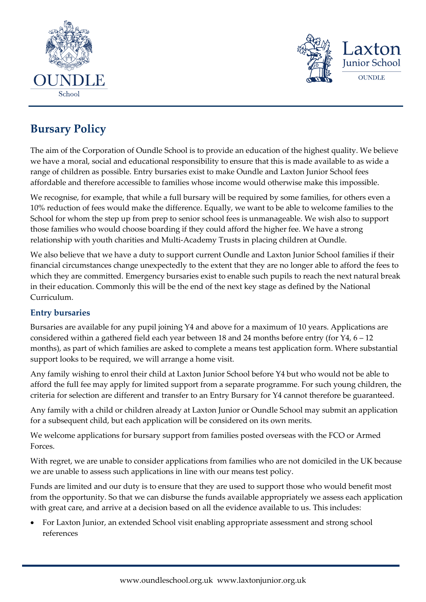



# **Bursary Policy**

The aim of the Corporation of Oundle School is to provide an education of the highest quality. We believe we have a moral, social and educational responsibility to ensure that this is made available to as wide a range of children as possible. Entry bursaries exist to make Oundle and Laxton Junior School fees affordable and therefore accessible to families whose income would otherwise make this impossible.

We recognise, for example, that while a full bursary will be required by some families, for others even a 10% reduction of fees would make the difference. Equally, we want to be able to welcome families to the School for whom the step up from prep to senior school fees is unmanageable. We wish also to support those families who would choose boarding if they could afford the higher fee. We have a strong relationship with youth charities and Multi-Academy Trusts in placing children at Oundle.

We also believe that we have a duty to support current Oundle and Laxton Junior School families if their financial circumstances change unexpectedly to the extent that they are no longer able to afford the fees to which they are committed. Emergency bursaries exist to enable such pupils to reach the next natural break in their education. Commonly this will be the end of the next key stage as defined by the National Curriculum.

## **Entry bursaries**

Bursaries are available for any pupil joining Y4 and above for a maximum of 10 years. Applications are considered within a gathered field each year between 18 and 24 months before entry (for Y4, 6 – 12 months), as part of which families are asked to complete a means test application form. Where substantial support looks to be required, we will arrange a home visit.

Any family wishing to enrol their child at Laxton Junior School before Y4 but who would not be able to afford the full fee may apply for limited support from a separate programme. For such young children, the criteria for selection are different and transfer to an Entry Bursary for Y4 cannot therefore be guaranteed.

Any family with a child or children already at Laxton Junior or Oundle School may submit an application for a subsequent child, but each application will be considered on its own merits.

We welcome applications for bursary support from families posted overseas with the FCO or Armed Forces.

With regret, we are unable to consider applications from families who are not domiciled in the UK because we are unable to assess such applications in line with our means test policy.

Funds are limited and our duty is to ensure that they are used to support those who would benefit most from the opportunity. So that we can disburse the funds available appropriately we assess each application with great care, and arrive at a decision based on all the evidence available to us. This includes:

• For Laxton Junior, an extended School visit enabling appropriate assessment and strong school references